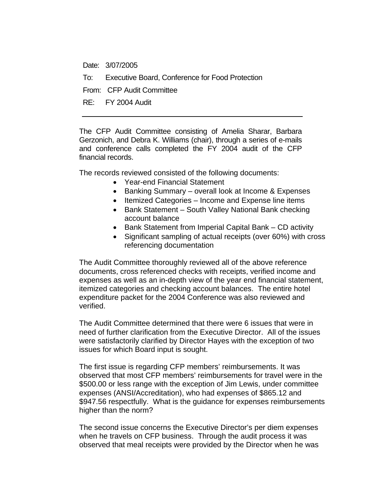Date: 3/07/2005

To: Executive Board, Conference for Food Protection

From: CFP Audit Committee

RE: FY 2004 Audit

The CFP Audit Committee consisting of Amelia Sharar, Barbara Gerzonich, and Debra K. Williams (chair), through a series of e-mails and conference calls completed the FY 2004 audit of the CFP financial records.

The records reviewed consisted of the following documents:

- Year-end Financial Statement
- Banking Summary overall look at Income & Expenses
- Itemized Categories Income and Expense line items
- Bank Statement South Valley National Bank checking account balance
- Bank Statement from Imperial Capital Bank CD activity
- Significant sampling of actual receipts (over 60%) with cross referencing documentation

The Audit Committee thoroughly reviewed all of the above reference documents, cross referenced checks with receipts, verified income and expenses as well as an in-depth view of the year end financial statement, itemized categories and checking account balances. The entire hotel expenditure packet for the 2004 Conference was also reviewed and verified.

The Audit Committee determined that there were 6 issues that were in need of further clarification from the Executive Director. All of the issues were satisfactorily clarified by Director Hayes with the exception of two issues for which Board input is sought.

The first issue is regarding CFP members' reimbursements. It was observed that most CFP members' reimbursements for travel were in the \$500.00 or less range with the exception of Jim Lewis, under committee expenses (ANSI/Accreditation), who had expenses of \$865.12 and \$947.56 respectfully. What is the guidance for expenses reimbursements higher than the norm?

The second issue concerns the Executive Director's per diem expenses when he travels on CFP business. Through the audit process it was observed that meal receipts were provided by the Director when he was